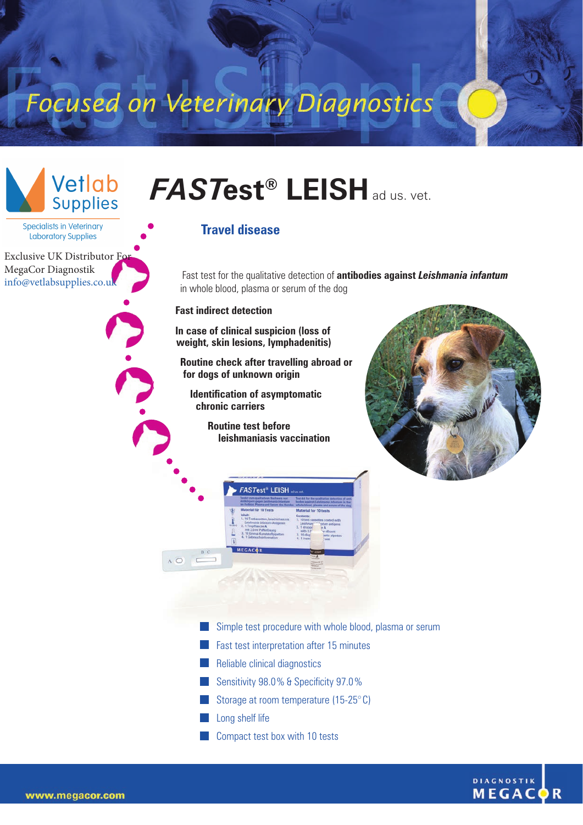Focused on Veterinary Diagnostics



**Specialists in Veterinary** Laboratory Supplies

Exclusive UK Distributor Fo MegaCor Diagnostik [info@vetlabsupplies.co.uk](https://vetlabsupplies.co.uk/about/contact-us/)

## *FAST***est® LEISH**ad us. vet.

## **Travel disease**

Fast test for the qualitative detection of **antibodies against** *Leishmania infantum* in whole blood, plasma or serum of the dog

## **Fast indirect detection**

**In case of clinical suspicion (loss of weight, skin lesions, lymphadenitis)**

**Routine check after travelling abroad or for dogs of unknown origin** 

**Identification of asymptomatic chronic carriers**

> **Routine test before leishmaniasis vaccination**





- Simple test procedure with whole blood, plasma or serum
- **Fast test interpretation after 15 minutes**
- **Reliable clinical diagnostics**
- Sensitivity 98.0% & Specificity 97.0%
- Storage at room temperature  $(15-25)$ °C)
- **Long shelf life**
- **Compact test box with 10 tests**